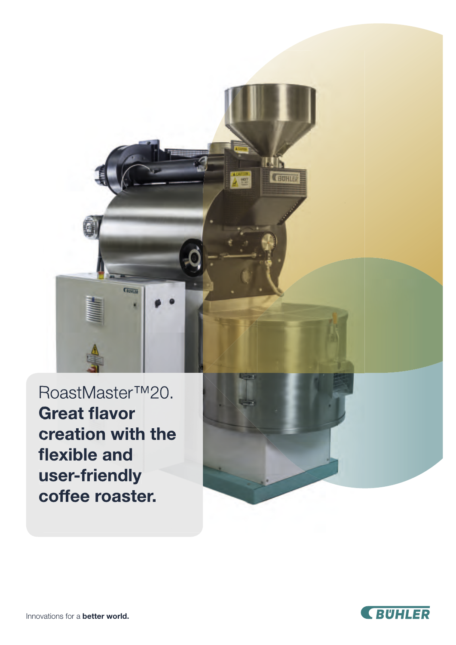

RoastMaster™20. **Great flavor** creation with the flexible and user-friendly coffee roaster.



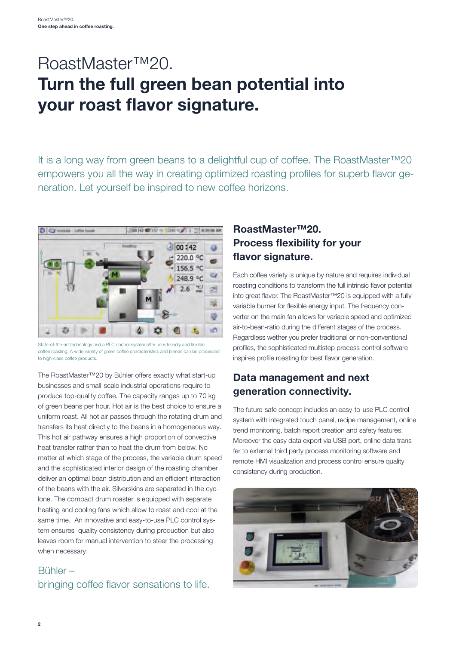## RoastMaster™20. Turn the full green bean potential into your roast flavor signature.

It is a long way from green beans to a delightful cup of coffee. The RoastMaster™20 empowers you all the way in creating optimized roasting profiles for superb flavor generation. Let yourself be inspired to new coffee horizons.



State-of-the-art technology and a PLC control system offer user-friendly and flexible coffee roasting. A wide variety of green coffee characteristics and blends can be processed to high-class coffee products.

The RoastMaster™20 by Bühler offers exactly what start-up businesses and small-scale industrial operations require to produce top-quality coffee. The capacity ranges up to 70 kg of green beans per hour. Hot air is the best choice to ensure a uniform roast. All hot air passes through the rotating drum and transfers its heat directly to the beans in a homogeneous way. This hot air pathway ensures a high proportion of convective heat transfer rather than to heat the drum from below. No matter at which stage of the process, the variable drum speed and the sophisticated interior design of the roasting chamber deliver an optimal bean distribution and an efficient interaction of the beans with the air. Silverskins are separated in the cyclone. The compact drum roaster is equipped with separate heating and cooling fans which allow to roast and cool at the same time. An innovative and easy-to-use PLC control system ensures quality consistency during production but also leaves room for manual intervention to steer the processing when necessary.

#### Bühler – bringing coffee flavor sensations to life.

#### RoastMaster™20. Process flexibility for your flavor signature.

Each coffee variety is unique by nature and requires individual roasting conditions to transform the full intrinsic flavor potential into great flavor. The RoastMaster™20 is equipped with a fully variable burner for flexible energy input. The frequency converter on the main fan allows for variable speed and optimized air-to-bean-ratio during the different stages of the process. Regardless wether you prefer traditional or non-conventional profiles, the sophisticated multistep process control software inspires profile roasting for best flavor generation.

#### Data management and next generation connectivity.

The future-safe concept includes an easy-to-use PLC control system with integrated touch panel, recipe management, online trend monitoring, batch report creation and safety features. Moreover the easy data export via USB port, online data transfer to external third party process monitoring software and remote HMI visualization and process control ensure quality consistency during production.

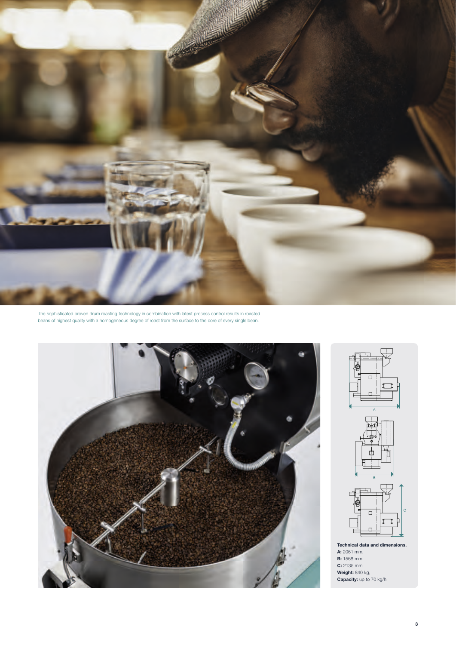

The sophisticated proven drum roasting technology in combination with latest process control results in roasted beans of highest quality with a homogeneous degree of roast from the surface to the core of every single bean.









Technical data and dimensions. A: 2061 mm, **B:** 1568 mm, C: 2135 mm Weight: 840 kg, Capacity: up to 70 kg/h